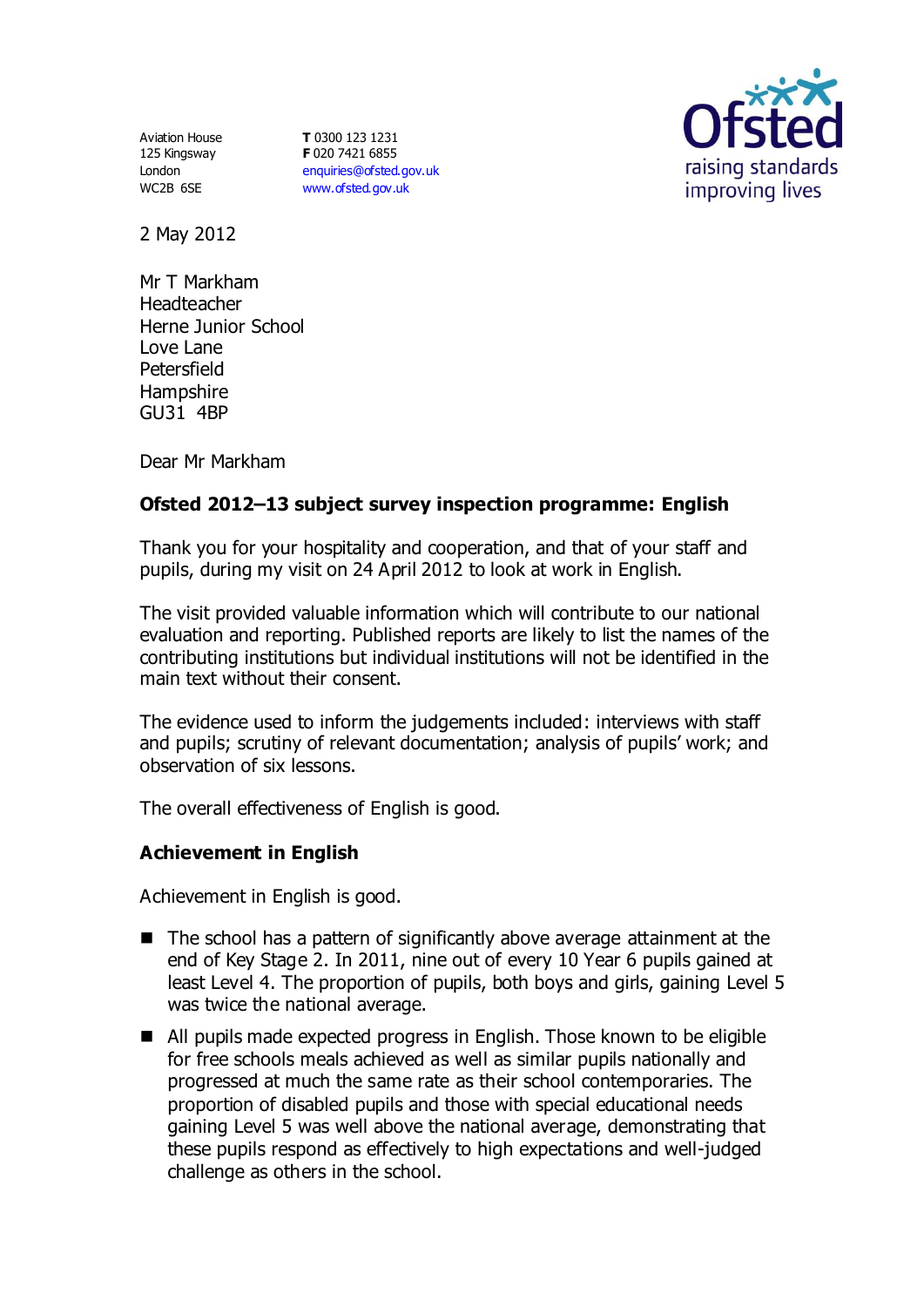Aviation House 125 Kingsway London WC2B 6SE

**T** 0300 123 1231 **F** 020 7421 6855 [enquiries@ofsted.gov.uk](mailto:enquiries@ofsted.gov.uk) [www.ofsted.gov.uk](http://www.ofsted.gov.uk/)



2 May 2012

Mr T Markham **Headteacher** Herne Junior School Love Lane Petersfield **Hampshire** GU31 4BP

Dear Mr Markham

# **Ofsted 2012–13 subject survey inspection programme: English**

Thank you for your hospitality and cooperation, and that of your staff and pupils, during my visit on 24 April 2012 to look at work in English.

The visit provided valuable information which will contribute to our national evaluation and reporting. Published reports are likely to list the names of the contributing institutions but individual institutions will not be identified in the main text without their consent.

The evidence used to inform the judgements included: interviews with staff and pupils; scrutiny of relevant documentation; analysis of pupils' work; and observation of six lessons.

The overall effectiveness of English is good.

#### **Achievement in English**

Achievement in English is good.

- $\blacksquare$  The school has a pattern of significantly above average attainment at the end of Key Stage 2. In 2011, nine out of every 10 Year 6 pupils gained at least Level 4. The proportion of pupils, both boys and girls, gaining Level 5 was twice the national average.
- All pupils made expected progress in English. Those known to be eligible for free schools meals achieved as well as similar pupils nationally and progressed at much the same rate as their school contemporaries. The proportion of disabled pupils and those with special educational needs gaining Level 5 was well above the national average, demonstrating that these pupils respond as effectively to high expectations and well-judged challenge as others in the school.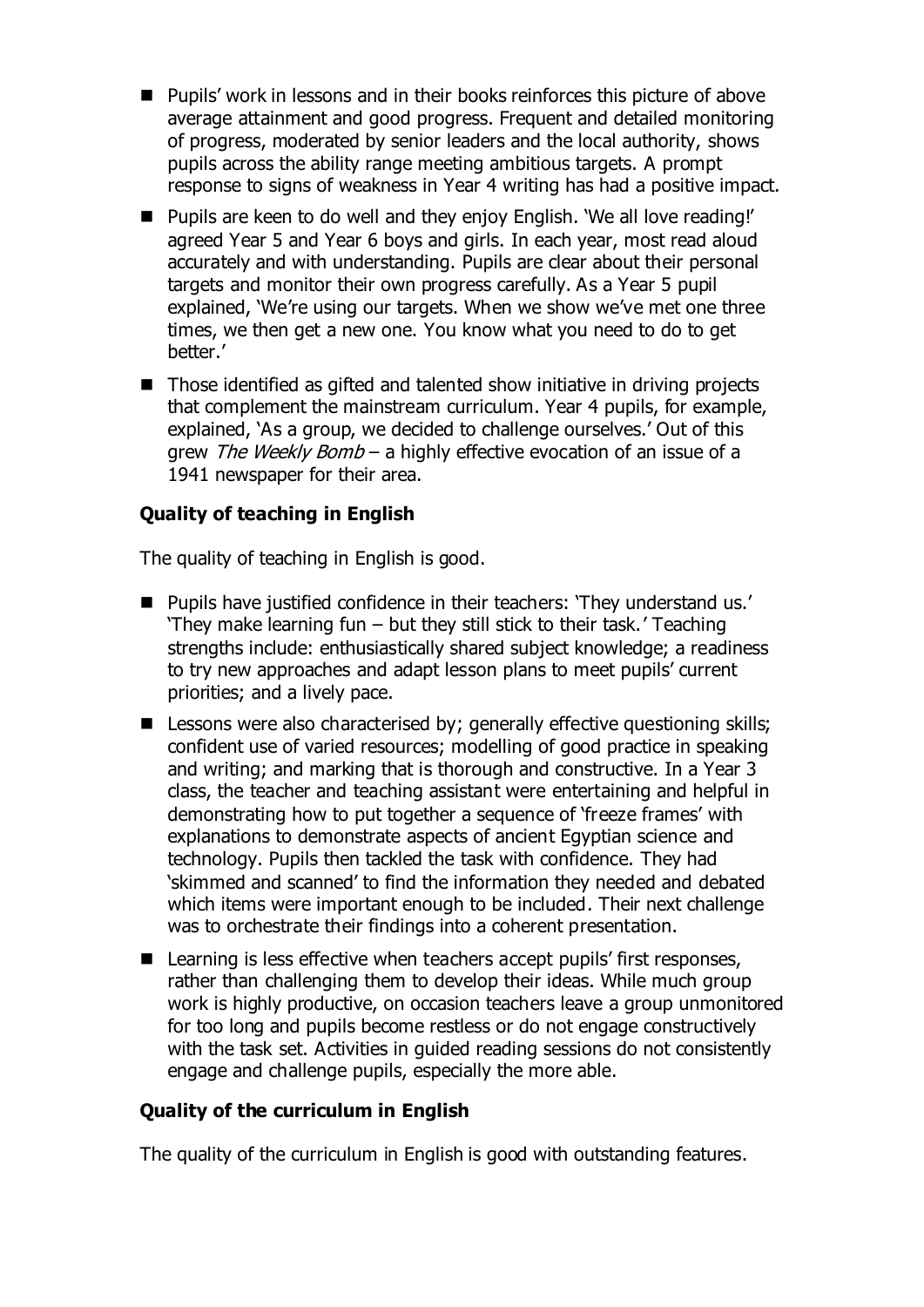- Pupils' work in lessons and in their books reinforces this picture of above average attainment and good progress. Frequent and detailed monitoring of progress, moderated by senior leaders and the local authority, shows pupils across the ability range meeting ambitious targets. A prompt response to signs of weakness in Year 4 writing has had a positive impact.
- Pupils are keen to do well and they enjoy English. 'We all love reading!' agreed Year 5 and Year 6 boys and girls. In each year, most read aloud accurately and with understanding. Pupils are clear about their personal targets and monitor their own progress carefully. As a Year 5 pupil explained, 'We're using our targets. When we show we've met one three times, we then get a new one. You know what you need to do to get better.'
- Those identified as gifted and talented show initiative in driving projects that complement the mainstream curriculum. Year 4 pupils, for example, explained, 'As a group, we decided to challenge ourselves.' Out of this arew *The Weekly Bomb* – a highly effective evocation of an issue of a 1941 newspaper for their area.

# **Quality of teaching in English**

The quality of teaching in English is good.

- **Pupils have justified confidence in their teachers: 'They understand us.'** 'They make learning fun – but they still stick to their task.' Teaching strengths include: enthusiastically shared subject knowledge; a readiness to try new approaches and adapt lesson plans to meet pupils' current priorities; and a lively pace.
- Lessons were also characterised by; generally effective questioning skills; confident use of varied resources; modelling of good practice in speaking and writing; and marking that is thorough and constructive. In a Year 3 class, the teacher and teaching assistant were entertaining and helpful in demonstrating how to put together a sequence of 'freeze frames' with explanations to demonstrate aspects of ancient Egyptian science and technology. Pupils then tackled the task with confidence. They had 'skimmed and scanned' to find the information they needed and debated which items were important enough to be included. Their next challenge was to orchestrate their findings into a coherent presentation.
- Learning is less effective when teachers accept pupils' first responses, rather than challenging them to develop their ideas. While much group work is highly productive, on occasion teachers leave a group unmonitored for too long and pupils become restless or do not engage constructively with the task set. Activities in guided reading sessions do not consistently engage and challenge pupils, especially the more able.

# **Quality of the curriculum in English**

The quality of the curriculum in English is good with outstanding features.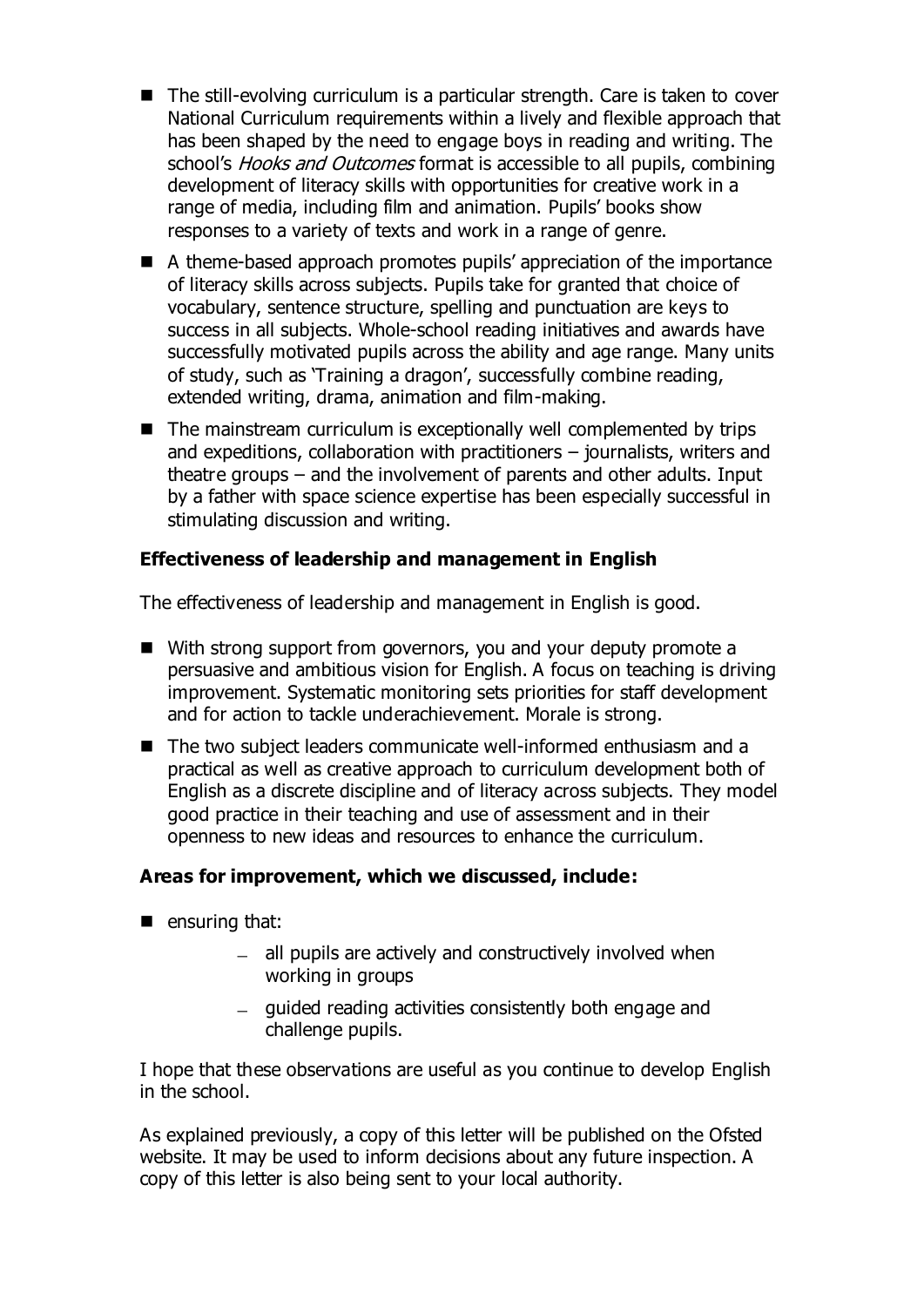- The still-evolving curriculum is a particular strength. Care is taken to cover National Curriculum requirements within a lively and flexible approach that has been shaped by the need to engage boys in reading and writing. The school's *Hooks and Outcomes* format is accessible to all pupils, combining development of literacy skills with opportunities for creative work in a range of media, including film and animation. Pupils' books show responses to a variety of texts and work in a range of genre.
- A theme-based approach promotes pupils' appreciation of the importance of literacy skills across subjects. Pupils take for granted that choice of vocabulary, sentence structure, spelling and punctuation are keys to success in all subjects. Whole-school reading initiatives and awards have successfully motivated pupils across the ability and age range. Many units of study, such as 'Training a dragon', successfully combine reading, extended writing, drama, animation and film-making.
- $\blacksquare$  The mainstream curriculum is exceptionally well complemented by trips and expeditions, collaboration with practitioners – journalists, writers and theatre groups – and the involvement of parents and other adults. Input by a father with space science expertise has been especially successful in stimulating discussion and writing.

### **Effectiveness of leadership and management in English**

The effectiveness of leadership and management in English is good.

- With strong support from governors, you and your deputy promote a persuasive and ambitious vision for English. A focus on teaching is driving improvement. Systematic monitoring sets priorities for staff development and for action to tackle underachievement. Morale is strong.
- The two subject leaders communicate well-informed enthusiasm and a practical as well as creative approach to curriculum development both of English as a discrete discipline and of literacy across subjects. They model good practice in their teaching and use of assessment and in their openness to new ideas and resources to enhance the curriculum.

#### **Areas for improvement, which we discussed, include:**

- $\blacksquare$  ensuring that:
	- $-$  all pupils are actively and constructively involved when working in groups
	- guided reading activities consistently both engage and challenge pupils.

I hope that these observations are useful as you continue to develop English in the school.

As explained previously, a copy of this letter will be published on the Ofsted website. It may be used to inform decisions about any future inspection. A copy of this letter is also being sent to your local authority.